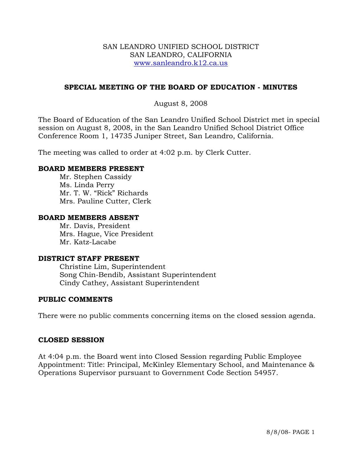#### SAN LEANDRO UNIFIED SCHOOL DISTRICT SAN LEANDRO, CALIFORNIA www.sanleandro.k12.ca.us

## **SPECIAL MEETING OF THE BOARD OF EDUCATION - MINUTES**

## August 8, 2008

The Board of Education of the San Leandro Unified School District met in special session on August 8, 2008, in the San Leandro Unified School District Office Conference Room 1, 14735 Juniper Street, San Leandro, California.

The meeting was called to order at 4:02 p.m. by Clerk Cutter.

#### **BOARD MEMBERS PRESENT**

Mr. Stephen Cassidy Ms. Linda Perry Mr. T. W. "Rick" Richards Mrs. Pauline Cutter, Clerk

#### **BOARD MEMBERS ABSENT**

Mr. Davis, President Mrs. Hague, Vice President Mr. Katz-Lacabe

#### **DISTRICT STAFF PRESENT**

Christine Lim, Superintendent Song Chin-Bendib, Assistant Superintendent Cindy Cathey, Assistant Superintendent

#### **PUBLIC COMMENTS**

There were no public comments concerning items on the closed session agenda.

#### **CLOSED SESSION**

At 4:04 p.m. the Board went into Closed Session regarding Public Employee Appointment: Title: Principal, McKinley Elementary School, and Maintenance & Operations Supervisor pursuant to Government Code Section 54957.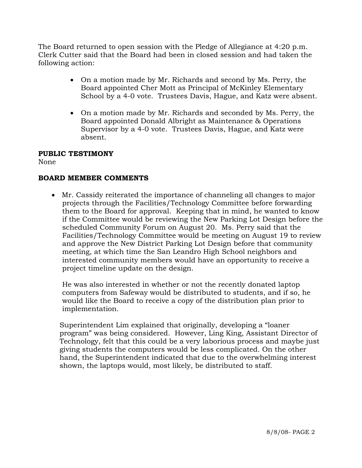The Board returned to open session with the Pledge of Allegiance at 4:20 p.m. Clerk Cutter said that the Board had been in closed session and had taken the following action:

- On a motion made by Mr. Richards and second by Ms. Perry, the Board appointed Cher Mott as Principal of McKinley Elementary School by a 4-0 vote. Trustees Davis, Hague, and Katz were absent.
- On a motion made by Mr. Richards and seconded by Ms. Perry, the Board appointed Donald Albright as Maintenance & Operations Supervisor by a 4-0 vote. Trustees Davis, Hague, and Katz were absent.

# **PUBLIC TESTIMONY**

None

# **BOARD MEMBER COMMENTS**

• Mr. Cassidy reiterated the importance of channeling all changes to major projects through the Facilities/Technology Committee before forwarding them to the Board for approval. Keeping that in mind, he wanted to know if the Committee would be reviewing the New Parking Lot Design before the scheduled Community Forum on August 20. Ms. Perry said that the Facilities/Technology Committee would be meeting on August 19 to review and approve the New District Parking Lot Design before that community meeting, at which time the San Leandro High School neighbors and interested community members would have an opportunity to receive a project timeline update on the design.

He was also interested in whether or not the recently donated laptop computers from Safeway would be distributed to students, and if so, he would like the Board to receive a copy of the distribution plan prior to implementation.

Superintendent Lim explained that originally, developing a "loaner program" was being considered. However, Ling King, Assistant Director of Technology, felt that this could be a very laborious process and maybe just giving students the computers would be less complicated. On the other hand, the Superintendent indicated that due to the overwhelming interest shown, the laptops would, most likely, be distributed to staff.